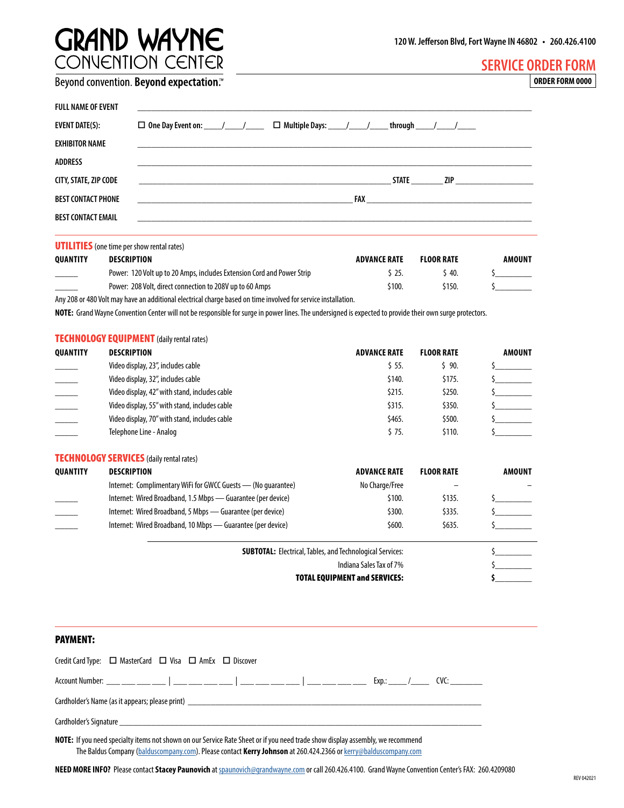## **GRAND WAYNE**<br>CONVENTION CENTER

|  | Beyond convention. Beyond expectation.™ |
|--|-----------------------------------------|
|  |                                         |

| FULL NAME OF EVENT    | <u> 1989 - Johann Stoff, amerikansk politiker (* 1908)</u>                                                                                                                                                                     |
|-----------------------|--------------------------------------------------------------------------------------------------------------------------------------------------------------------------------------------------------------------------------|
| EVENT DATE(S):        | $\Box$ Multiple Days: ____/____/_____through ____/____/_____                                                                                                                                                                   |
| EXHIBITOR NAME        |                                                                                                                                                                                                                                |
| ADDRESS               |                                                                                                                                                                                                                                |
| CITY, STATE, ZIP CODE | STATE<br><b>ZIP Example 2</b>                                                                                                                                                                                                  |
| BEST CONTACT PHONE    | FAX and the contract of the contract of the contract of the contract of the contract of the contract of the contract of the contract of the contract of the contract of the contract of the contract of the contract of the co |
| BEST CONTACT EMAIL    |                                                                                                                                                                                                                                |
|                       |                                                                                                                                                                                                                                |

**UTILITIES** (one time per show rental rates)

| <b>OUANTITY</b>          | DESCRIPTION                                                                                                   | <b>ADVANCE RATE</b> | <b>FLOOR RATE</b> | AMOUNT |
|--------------------------|---------------------------------------------------------------------------------------------------------------|---------------------|-------------------|--------|
| $\overline{\phantom{a}}$ | Power: 120 Volt up to 20 Amps, includes Extension Cord and Power Strip                                        | S 25.               | ,40.              |        |
|                          | Power: 208 Volt, direct connection to 208V up to 60 Amps                                                      | \$100.              | S150.             |        |
|                          | Any 208 or 480 Volt may have an additional electrical charge based on time involved for service installation. |                     |                   |        |

**NOTE:** Grand Wayne Convention Center will not be responsible for surge in power lines. The undersigned is expected to provide their own surge protectors.

|                 | <b>TECHNOLOGY EQUIPMENT</b> (daily rental rates)                                            |                     |                   |               |
|-----------------|---------------------------------------------------------------------------------------------|---------------------|-------------------|---------------|
| <b>QUANTITY</b> | <b>DESCRIPTION</b>                                                                          | <b>ADVANCE RATE</b> | <b>FLOOR RATE</b> | <b>AMOUNT</b> |
|                 | Video display, 23", includes cable                                                          | $$5.55$ .           | 590.              |               |
|                 | Video display, 32", includes cable                                                          | \$140.              | \$175.            |               |
| $\frac{1}{2}$   | Video display, 42" with stand, includes cable                                               | \$215.              | \$250.            |               |
|                 | Video display, 55" with stand, includes cable                                               | \$315.              | \$350.            |               |
|                 | Video display, 70" with stand, includes cable                                               | \$465.              | \$500.            |               |
|                 | Telephone Line - Analog                                                                     | \$75.               | \$110.            |               |
|                 | <b>TECHNOLOGY SERVICES</b> (daily rental rates)                                             |                     |                   |               |
| <b>QUANTITY</b> | <b>DESCRIPTION</b>                                                                          | <b>ADVANCE RATE</b> | <b>FLOOR RATE</b> | <b>AMOUNT</b> |
|                 | Internet: Complimentary WiFi for GWCC Guests — (No quarantee)                               | No Charge/Free      |                   |               |
|                 | Internet: Wired Broadband, 1.5 Mbps — Guarantee (per device)                                | \$100.              | \$135.            |               |
|                 | Internet: Wired Broadband, 5 Mbps — Guarantee (per device)                                  | \$300.              | \$335.            |               |
|                 | Internet: Wired Broadband, 10 Mbps - Guarantee (per device)                                 | \$600.              | \$635.            |               |
|                 | <b>SUBTOTAL: Electrical, Tables, and Technological Services:</b><br>Indiana Sales Tax of 7% |                     |                   |               |
|                 |                                                                                             |                     |                   |               |
|                 | <b>TOTAL EQUIPMENT and SERVICES:</b>                                                        |                     |                   |               |

## PAYMENT:

|                                                                                                                                |  | Credit Card Type: □ MasterCard □ Visa □ AmEx □ Discover |  |  |  |  |  |
|--------------------------------------------------------------------------------------------------------------------------------|--|---------------------------------------------------------|--|--|--|--|--|
|                                                                                                                                |  |                                                         |  |  |  |  |  |
|                                                                                                                                |  |                                                         |  |  |  |  |  |
|                                                                                                                                |  |                                                         |  |  |  |  |  |
| NOTE: If you need specialty items not shown on our Service Rate Sheet or if you need trade show display assembly, we recommend |  |                                                         |  |  |  |  |  |

The Baldus Company ([balduscompany.com](https://balduscompany.com/)). Please contact **Kerry Johnson** at 260.424.2366 or [kerry@balduscompany.com](mailto:kerry%40balduscompany.com?subject=)